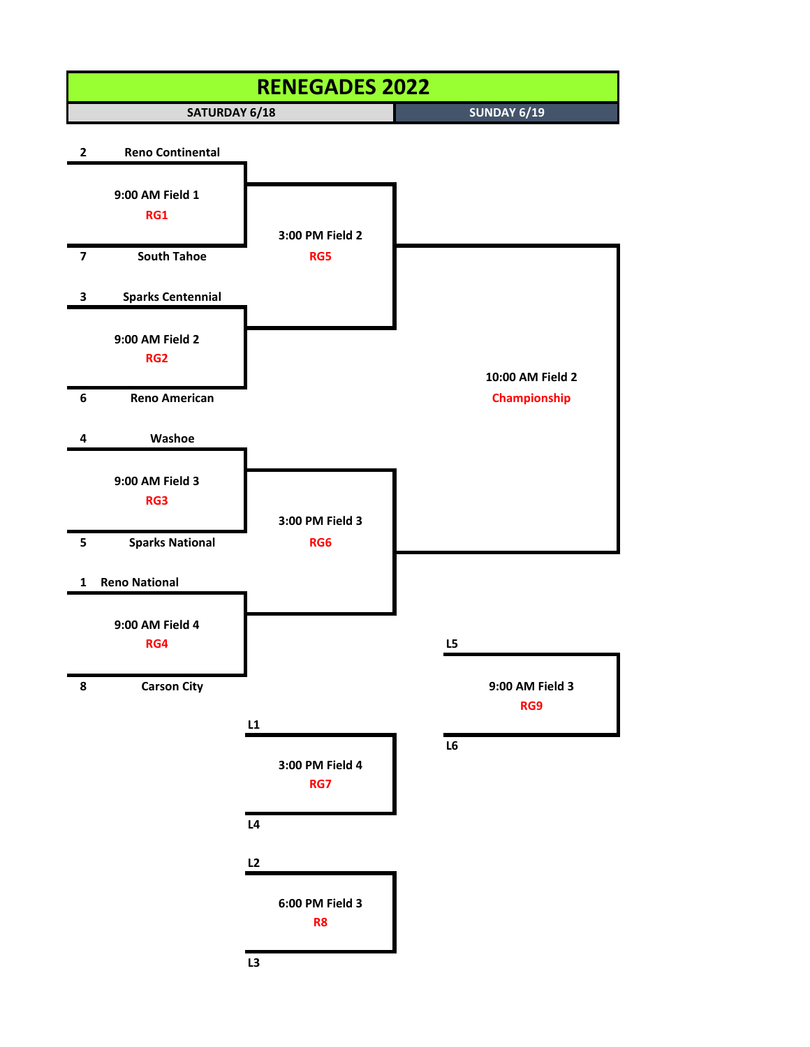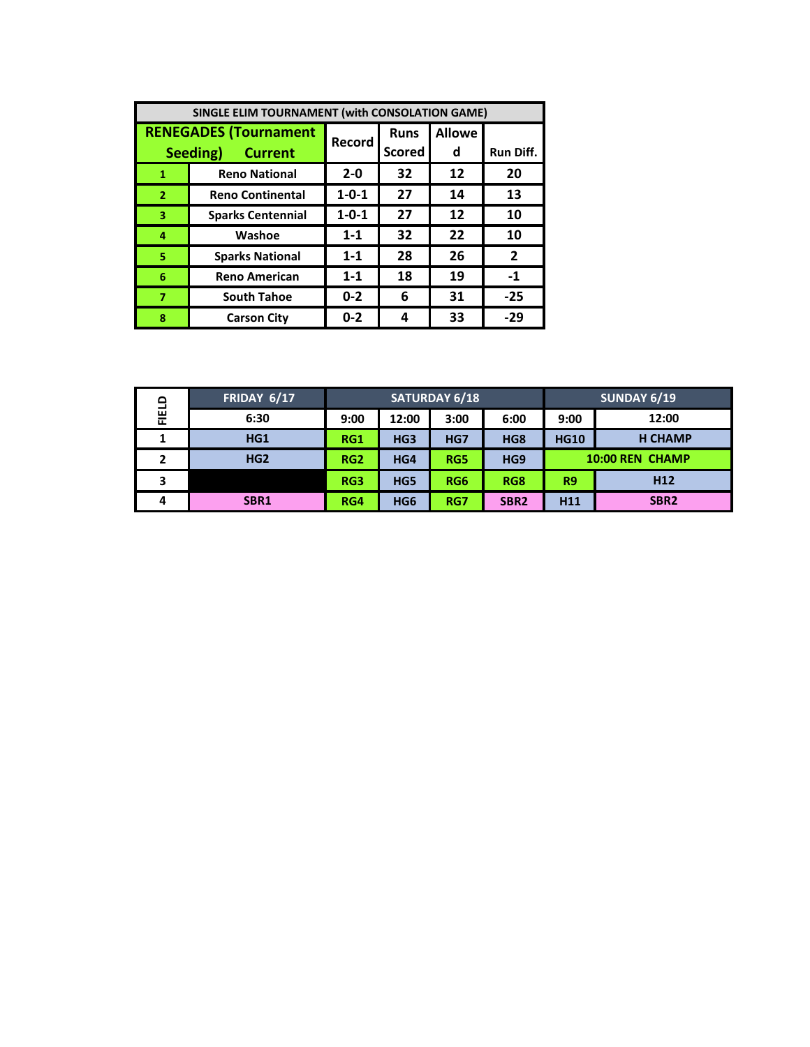| SINGLE ELIM TOURNAMENT (with CONSOLATION GAME) |                              |             |               |               |                  |  |
|------------------------------------------------|------------------------------|-------------|---------------|---------------|------------------|--|
|                                                | <b>RENEGADES (Tournament</b> | Record      | <b>Runs</b>   | <b>Allowe</b> |                  |  |
| Seeding)<br><b>Current</b>                     |                              |             | <b>Scored</b> | d             | <b>Run Diff.</b> |  |
| 1                                              | <b>Reno National</b>         | $2 - 0$     | 32            | 12            | 20               |  |
| $\overline{2}$                                 | <b>Reno Continental</b>      | $1 - 0 - 1$ | 27            | 14            | 13               |  |
| 3                                              | <b>Sparks Centennial</b>     | $1 - 0 - 1$ | 27            | 12            | 10               |  |
| 4                                              | Washoe                       | $1 - 1$     | 32            | 22            | 10               |  |
| 5                                              | <b>Sparks National</b>       | $1 - 1$     | 28            | 26            | $\overline{2}$   |  |
| 6                                              | <b>Reno American</b>         | $1 - 1$     | 18            | 19            | $-1$             |  |
| $\overline{7}$                                 | <b>South Tahoe</b>           | $0 - 2$     | 6             | 31            | $-25$            |  |
| 8                                              | <b>Carson City</b>           | $0 - 2$     | 4             | 33            | $-29$            |  |

| ۵<br>믍 | FRIDAY 6/17      | <b>SATURDAY 6/18</b> |                 |                 |                  | <b>SUNDAY 6/19</b>     |                  |  |
|--------|------------------|----------------------|-----------------|-----------------|------------------|------------------------|------------------|--|
|        | 6:30             | 9:00                 | 12:00           | 3:00            | 6:00             | 9:00                   | 12:00            |  |
| 1      | HG1              | RG1                  | HG <sub>3</sub> | HG7             | HG8              | <b>HG10</b>            | <b>H CHAMP</b>   |  |
| י      | HG <sub>2</sub>  | RG <sub>2</sub>      | HG4             | RG5             | HG9              | <b>10:00 REN CHAMP</b> |                  |  |
| 3      |                  | RG3                  | HG5             | RG <sub>6</sub> | RG8              | R9                     | H <sub>12</sub>  |  |
| 4      | SBR <sub>1</sub> | RG4                  | HG <sub>6</sub> | RG7             | SBR <sub>2</sub> | H <sub>11</sub>        | SBR <sub>2</sub> |  |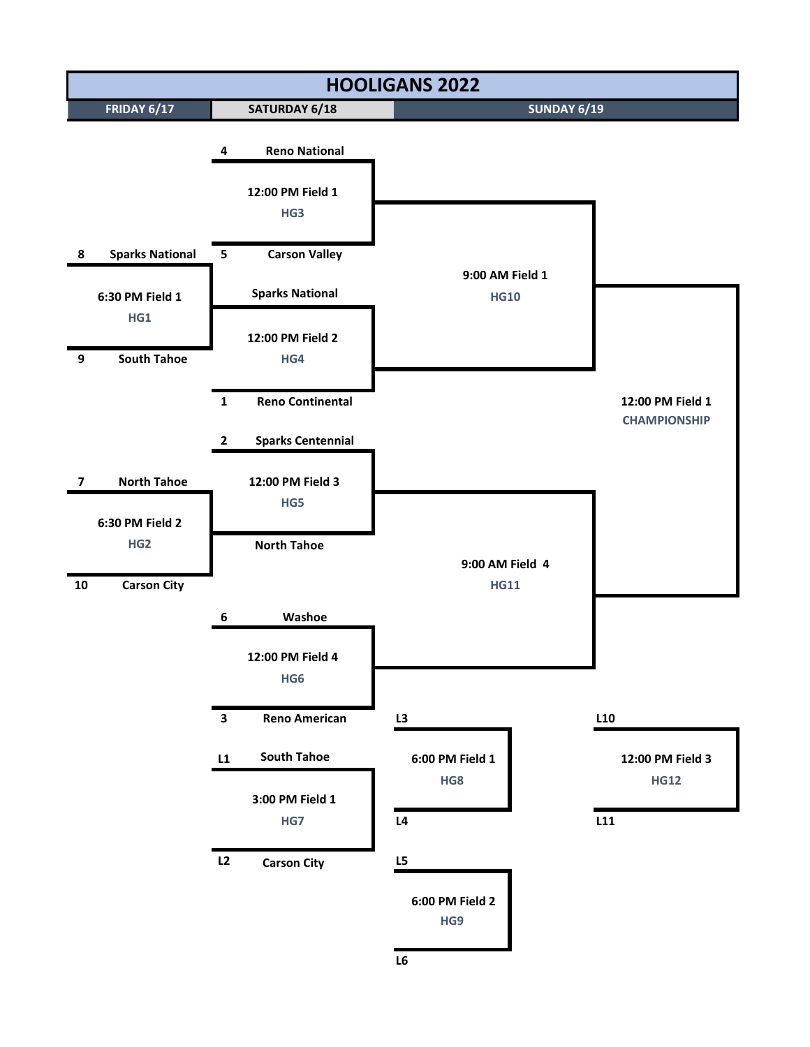